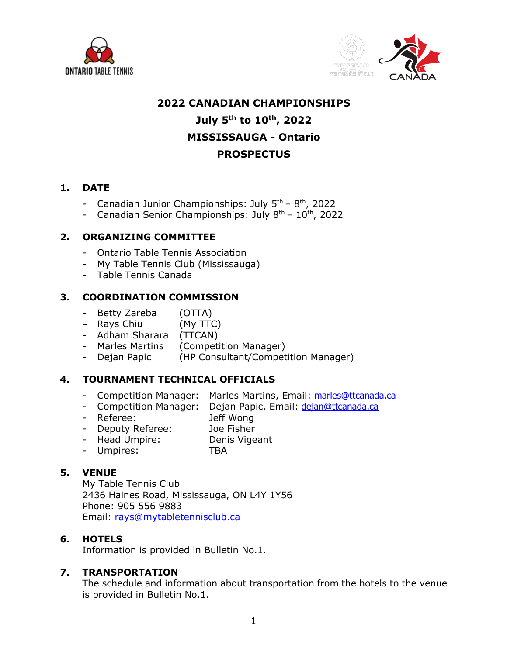



## **2022 CANADIAN CHAMPIONSHIPS**

# **July 5th to 10th, 2022 MISSISSAUGA - Ontario PROSPECTUS**

#### **1. DATE**

- Canadian Junior Championships: July  $5<sup>th</sup> 8<sup>th</sup>$ , 2022
- Canadian Senior Championships: July  $8<sup>th</sup> 10<sup>th</sup>$ , 2022

#### **2. ORGANIZING COMMITTEE**

- Ontario Table Tennis Association
- My Table Tennis Club (Mississauga)
- Table Tennis Canada

#### **3. COORDINATION COMMISSION**

- Betty Zareba (OTTA)
- Rays Chiu (My TTC)
- Adham Sharara (TTCAN)
- Marles Martins (Competition Manager)
- Dejan Papic (HP Consultant/Competition Manager)

## **4. TOURNAMENT TECHNICAL OFFICIALS**

- Competition Manager: Marles Martins, Email: marles@ttcanada.ca
- Competition Manager: Dejan Papic, Email: dejan@ttcanada.ca
- Referee: Jeff Wong
- Deputy Referee: Joe Fisher
- Head Umpire: Denis Vigeant
- Umpires: TBA

#### **5. VENUE**

My Table Tennis Club 2436 Haines Road, Mississauga, ON L4Y 1Y56 Phone: 905 556 9883 Email: rays@mytabletennisclub.ca

#### **6. HOTELS**

Information is provided in Bulletin No.1.

#### **7. TRANSPORTATION**

The schedule and information about transportation from the hotels to the venue is provided in Bulletin No.1.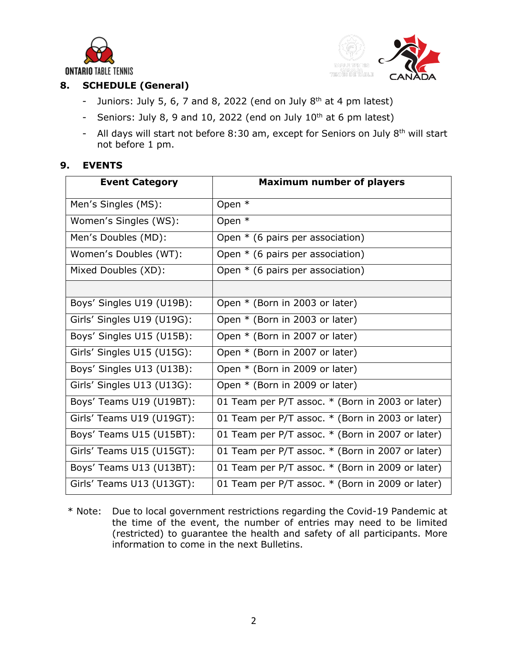



# **8. SCHEDULE (General)**

- Juniors: July 5, 6, 7 and 8, 2022 (end on July  $8<sup>th</sup>$  at 4 pm latest)
- Seniors: July 8, 9 and 10, 2022 (end on July  $10^{th}$  at 6 pm latest)
- All days will start not before  $8:30$  am, except for Seniors on July  $8<sup>th</sup>$  will start not before 1 pm.

#### **9. EVENTS**

| <b>Event Category</b>      | <b>Maximum number of players</b>                 |
|----------------------------|--------------------------------------------------|
| Men's Singles (MS):        | Open *                                           |
| Women's Singles (WS):      | Open *                                           |
| Men's Doubles (MD):        | Open $*$ (6 pairs per association)               |
| Women's Doubles (WT):      | Open $*$ (6 pairs per association)               |
| Mixed Doubles (XD):        | Open $*$ (6 pairs per association)               |
|                            |                                                  |
| Boys' Singles U19 (U19B):  | Open * (Born in 2003 or later)                   |
| Girls' Singles U19 (U19G): | Open * (Born in 2003 or later)                   |
| Boys' Singles U15 (U15B):  | Open * (Born in 2007 or later)                   |
| Girls' Singles U15 (U15G): | Open * (Born in 2007 or later)                   |
| Boys' Singles U13 (U13B):  | Open * (Born in 2009 or later)                   |
| Girls' Singles U13 (U13G): | Open * (Born in 2009 or later)                   |
| Boys' Teams U19 (U19BT):   | 01 Team per P/T assoc. * (Born in 2003 or later) |
| Girls' Teams U19 (U19GT):  | 01 Team per P/T assoc. * (Born in 2003 or later) |
| Boys' Teams U15 (U15BT):   | 01 Team per P/T assoc. * (Born in 2007 or later) |
| Girls' Teams U15 (U15GT):  | 01 Team per P/T assoc. * (Born in 2007 or later) |
| Boys' Teams U13 (U13BT):   | 01 Team per P/T assoc. * (Born in 2009 or later) |
| Girls' Teams U13 (U13GT):  | 01 Team per P/T assoc. * (Born in 2009 or later) |

\* Note: Due to local government restrictions regarding the Covid-19 Pandemic at the time of the event, the number of entries may need to be limited (restricted) to guarantee the health and safety of all participants. More information to come in the next Bulletins.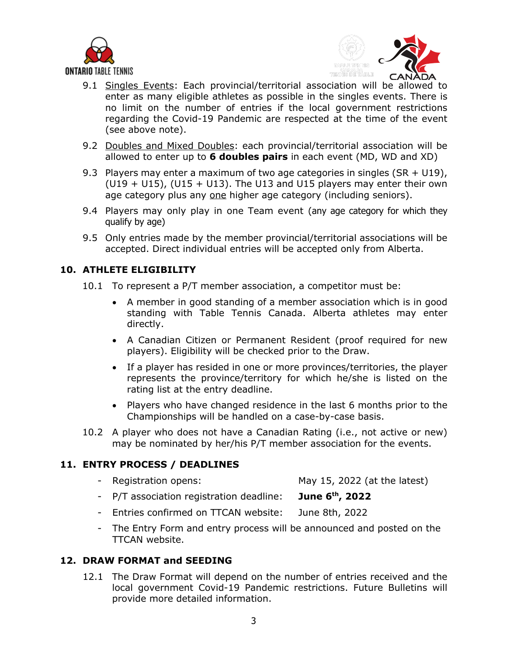



- 9.1 Singles Events: Each provincial/territorial association will be allowed to enter as many eligible athletes as possible in the singles events. There is no limit on the number of entries if the local government restrictions regarding the Covid-19 Pandemic are respected at the time of the event (see above note).
- 9.2 Doubles and Mixed Doubles: each provincial/territorial association will be allowed to enter up to **6 doubles pairs** in each event (MD, WD and XD)
- 9.3 Players may enter a maximum of two age categories in singles (SR + U19),  $(U19 + U15)$ ,  $(U15 + U13)$ . The U13 and U15 players may enter their own age category plus any one higher age category (including seniors).
- 9.4 Players may only play in one Team event (any age category for which they qualify by age)
- 9.5 Only entries made by the member provincial/territorial associations will be accepted. Direct individual entries will be accepted only from Alberta.

#### **10. ATHLETE ELIGIBILITY**

10.1 To represent a P/T member association, a competitor must be:

- A member in good standing of a member association which is in good standing with Table Tennis Canada. Alberta athletes may enter directly.
- A Canadian Citizen or Permanent Resident (proof required for new players). Eligibility will be checked prior to the Draw.
- If a player has resided in one or more provinces/territories, the player represents the province/territory for which he/she is listed on the rating list at the entry deadline.
- Players who have changed residence in the last 6 months prior to the Championships will be handled on a case-by-case basis.
- 10.2 A player who does not have a Canadian Rating (i.e., not active or new) may be nominated by her/his P/T member association for the events.

## **11. ENTRY PROCESS / DEADLINES**

- Registration opens: May 15, 2022 (at the latest)
- P/T association registration deadline: **June 6th, 2022**
- Entries confirmed on TTCAN website: June 8th, 2022
- The Entry Form and entry process will be announced and posted on the TTCAN website.

#### **12. DRAW FORMAT and SEEDING**

12.1 The Draw Format will depend on the number of entries received and the local government Covid-19 Pandemic restrictions. Future Bulletins will provide more detailed information.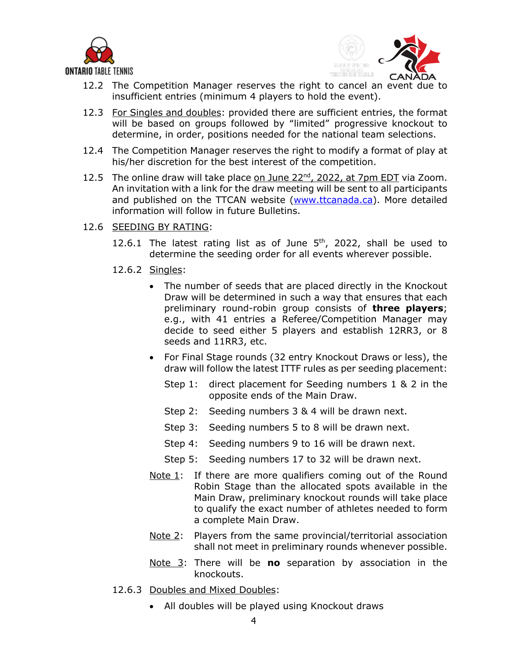



- 12.2 The Competition Manager reserves the right to cancel an event due to insufficient entries (minimum 4 players to hold the event).
- 12.3 For Singles and doubles: provided there are sufficient entries, the format will be based on groups followed by "limited" progressive knockout to determine, in order, positions needed for the national team selections.
- 12.4 The Competition Manager reserves the right to modify a format of play at his/her discretion for the best interest of the competition.
- 12.5 The online draw will take place on June 22<sup>nd</sup>, 2022, at 7pm EDT via Zoom. An invitation with a link for the draw meeting will be sent to all participants and published on the TTCAN website (www.ttcanada.ca). More detailed information will follow in future Bulletins.
- 12.6 SEEDING BY RATING:
	- 12.6.1 The latest rating list as of June  $5<sup>th</sup>$ , 2022, shall be used to determine the seeding order for all events wherever possible.
	- 12.6.2 Singles:
		- The number of seeds that are placed directly in the Knockout Draw will be determined in such a way that ensures that each preliminary round-robin group consists of **three players**; e.g., with 41 entries a Referee/Competition Manager may decide to seed either 5 players and establish 12RR3, or 8 seeds and 11RR3, etc.
		- For Final Stage rounds (32 entry Knockout Draws or less), the draw will follow the latest ITTF rules as per seeding placement:
			- Step 1: direct placement for Seeding numbers 1 & 2 in the opposite ends of the Main Draw.
			- Step 2: Seeding numbers 3 & 4 will be drawn next.
			- Step 3: Seeding numbers 5 to 8 will be drawn next.
			- Step 4: Seeding numbers 9 to 16 will be drawn next.
			- Step 5: Seeding numbers 17 to 32 will be drawn next.
		- Note 1: If there are more qualifiers coming out of the Round Robin Stage than the allocated spots available in the Main Draw, preliminary knockout rounds will take place to qualify the exact number of athletes needed to form a complete Main Draw.
		- Note 2: Players from the same provincial/territorial association shall not meet in preliminary rounds whenever possible.
		- Note 3: There will be **no** separation by association in the knockouts.
	- 12.6.3 Doubles and Mixed Doubles:
		- All doubles will be played using Knockout draws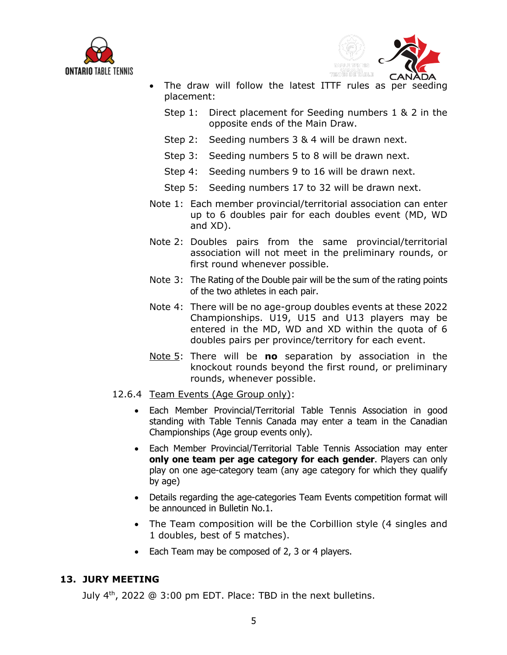



- The draw will follow the latest ITTF rules as per seeding placement:
	- Step 1: Direct placement for Seeding numbers 1 & 2 in the opposite ends of the Main Draw.
	- Step 2: Seeding numbers 3 & 4 will be drawn next.
	- Step 3: Seeding numbers 5 to 8 will be drawn next.
	- Step 4: Seeding numbers 9 to 16 will be drawn next.
	- Step 5: Seeding numbers 17 to 32 will be drawn next.
- Note 1: Each member provincial/territorial association can enter up to 6 doubles pair for each doubles event (MD, WD and XD).
- Note 2: Doubles pairs from the same provincial/territorial association will not meet in the preliminary rounds, or first round whenever possible.
- Note 3: The Rating of the Double pair will be the sum of the rating points of the two athletes in each pair.
- Note 4: There will be no age-group doubles events at these 2022 Championships. U19, U15 and U13 players may be entered in the MD, WD and XD within the quota of 6 doubles pairs per province/territory for each event.
- Note 5: There will be **no** separation by association in the knockout rounds beyond the first round, or preliminary rounds, whenever possible.
- 12.6.4 Team Events (Age Group only):
	- Each Member Provincial/Territorial Table Tennis Association in good standing with Table Tennis Canada may enter a team in the Canadian Championships (Age group events only).
	- Each Member Provincial/Territorial Table Tennis Association may enter **only one team per age category for each gender**. Players can only play on one age-category team (any age category for which they qualify by age)
	- Details regarding the age-categories Team Events competition format will be announced in Bulletin No.1.
	- The Team composition will be the Corbillion style (4 singles and 1 doubles, best of 5 matches).
	- Each Team may be composed of 2, 3 or 4 players.

#### **13. JURY MEETING**

July 4<sup>th</sup>, 2022 @ 3:00 pm EDT. Place: TBD in the next bulletins.